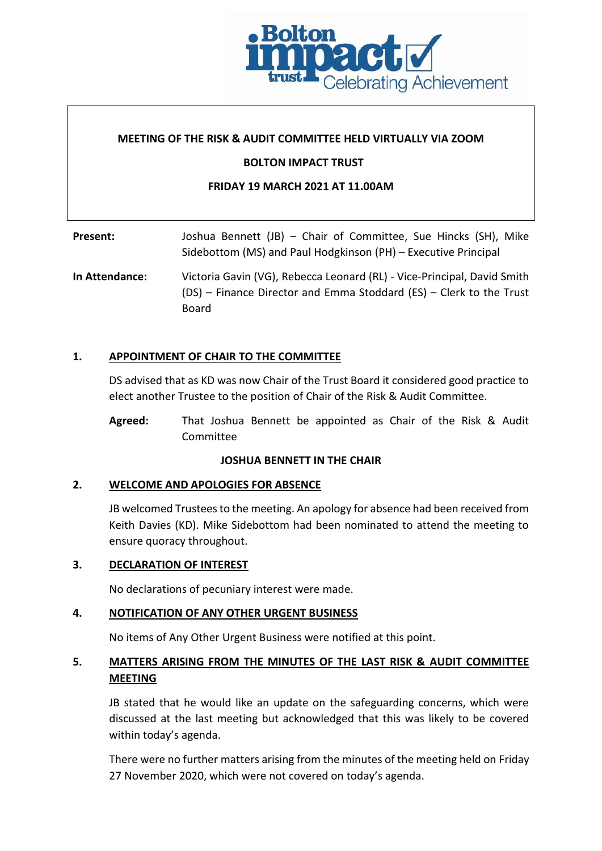

#### **MEETING OF THE RISK & AUDIT COMMITTEE HELD VIRTUALLY VIA ZOOM**

#### **BOLTON IMPACT TRUST**

#### **FRIDAY 19 MARCH 2021 AT 11.00AM**

# Present: Joshua Bennett (JB) – Chair of Committee, Sue Hincks (SH), Mike Sidebottom (MS) and Paul Hodgkinson (PH) – Executive Principal

**In Attendance:** Victoria Gavin (VG), Rebecca Leonard (RL) - Vice-Principal, David Smith (DS) – Finance Director and Emma Stoddard (ES) – Clerk to the Trust Board

#### **1. APPOINTMENT OF CHAIR TO THE COMMITTEE**

DS advised that as KD was now Chair of the Trust Board it considered good practice to elect another Trustee to the position of Chair of the Risk & Audit Committee.

**Agreed:** That Joshua Bennett be appointed as Chair of the Risk & Audit Committee

#### **JOSHUA BENNETT IN THE CHAIR**

#### **2. WELCOME AND APOLOGIES FOR ABSENCE**

JB welcomed Trustees to the meeting. An apology for absence had been received from Keith Davies (KD). Mike Sidebottom had been nominated to attend the meeting to ensure quoracy throughout.

#### **3. DECLARATION OF INTEREST**

No declarations of pecuniary interest were made.

#### **4. NOTIFICATION OF ANY OTHER URGENT BUSINESS**

No items of Any Other Urgent Business were notified at this point.

## **5. MATTERS ARISING FROM THE MINUTES OF THE LAST RISK & AUDIT COMMITTEE MEETING**

JB stated that he would like an update on the safeguarding concerns, which were discussed at the last meeting but acknowledged that this was likely to be covered within today's agenda.

There were no further matters arising from the minutes of the meeting held on Friday 27 November 2020, which were not covered on today's agenda.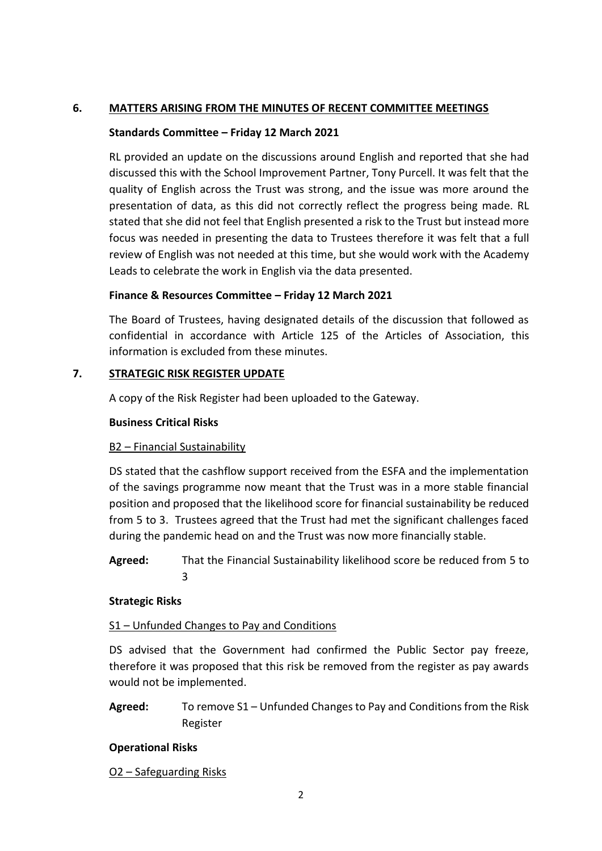### **6. MATTERS ARISING FROM THE MINUTES OF RECENT COMMITTEE MEETINGS**

### **Standards Committee – Friday 12 March 2021**

RL provided an update on the discussions around English and reported that she had discussed this with the School Improvement Partner, Tony Purcell. It was felt that the quality of English across the Trust was strong, and the issue was more around the presentation of data, as this did not correctly reflect the progress being made. RL stated that she did not feel that English presented a risk to the Trust but instead more focus was needed in presenting the data to Trustees therefore it was felt that a full review of English was not needed at this time, but she would work with the Academy Leads to celebrate the work in English via the data presented.

### **Finance & Resources Committee – Friday 12 March 2021**

The Board of Trustees, having designated details of the discussion that followed as confidential in accordance with Article 125 of the Articles of Association, this information is excluded from these minutes.

### **7. STRATEGIC RISK REGISTER UPDATE**

A copy of the Risk Register had been uploaded to the Gateway.

### **Business Critical Risks**

## B2 – Financial Sustainability

DS stated that the cashflow support received from the ESFA and the implementation of the savings programme now meant that the Trust was in a more stable financial position and proposed that the likelihood score for financial sustainability be reduced from 5 to 3. Trustees agreed that the Trust had met the significant challenges faced during the pandemic head on and the Trust was now more financially stable.

**Agreed:** That the Financial Sustainability likelihood score be reduced from 5 to 3

#### **Strategic Risks**

## S1 – Unfunded Changes to Pay and Conditions

DS advised that the Government had confirmed the Public Sector pay freeze, therefore it was proposed that this risk be removed from the register as pay awards would not be implemented.

**Agreed:** To remove S1 – Unfunded Changes to Pay and Conditions from the Risk Register

## **Operational Risks**

## O2 – Safeguarding Risks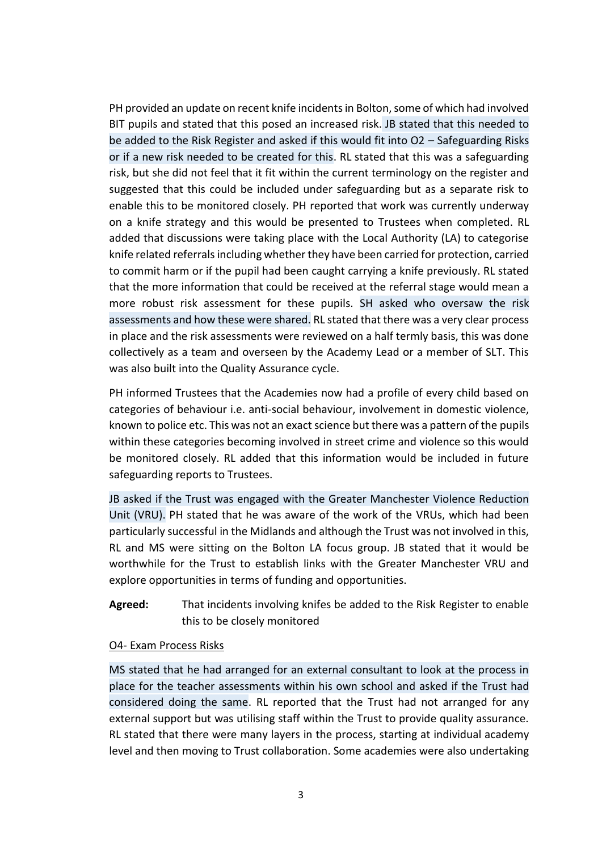PH provided an update on recent knife incidents in Bolton, some of which had involved BIT pupils and stated that this posed an increased risk. JB stated that this needed to be added to the Risk Register and asked if this would fit into O2 – Safeguarding Risks or if a new risk needed to be created for this. RL stated that this was a safeguarding risk, but she did not feel that it fit within the current terminology on the register and suggested that this could be included under safeguarding but as a separate risk to enable this to be monitored closely. PH reported that work was currently underway on a knife strategy and this would be presented to Trustees when completed. RL added that discussions were taking place with the Local Authority (LA) to categorise knife related referrals including whether they have been carried for protection, carried to commit harm or if the pupil had been caught carrying a knife previously. RL stated that the more information that could be received at the referral stage would mean a more robust risk assessment for these pupils. SH asked who oversaw the risk assessments and how these were shared. RL stated that there was a very clear process in place and the risk assessments were reviewed on a half termly basis, this was done collectively as a team and overseen by the Academy Lead or a member of SLT. This was also built into the Quality Assurance cycle.

PH informed Trustees that the Academies now had a profile of every child based on categories of behaviour i.e. anti-social behaviour, involvement in domestic violence, known to police etc. This was not an exact science but there was a pattern of the pupils within these categories becoming involved in street crime and violence so this would be monitored closely. RL added that this information would be included in future safeguarding reports to Trustees.

JB asked if the Trust was engaged with the Greater Manchester Violence Reduction Unit (VRU). PH stated that he was aware of the work of the VRUs, which had been particularly successful in the Midlands and although the Trust was not involved in this, RL and MS were sitting on the Bolton LA focus group. JB stated that it would be worthwhile for the Trust to establish links with the Greater Manchester VRU and explore opportunities in terms of funding and opportunities.

**Agreed:** That incidents involving knifes be added to the Risk Register to enable this to be closely monitored

#### O4- Exam Process Risks

MS stated that he had arranged for an external consultant to look at the process in place for the teacher assessments within his own school and asked if the Trust had considered doing the same. RL reported that the Trust had not arranged for any external support but was utilising staff within the Trust to provide quality assurance. RL stated that there were many layers in the process, starting at individual academy level and then moving to Trust collaboration. Some academies were also undertaking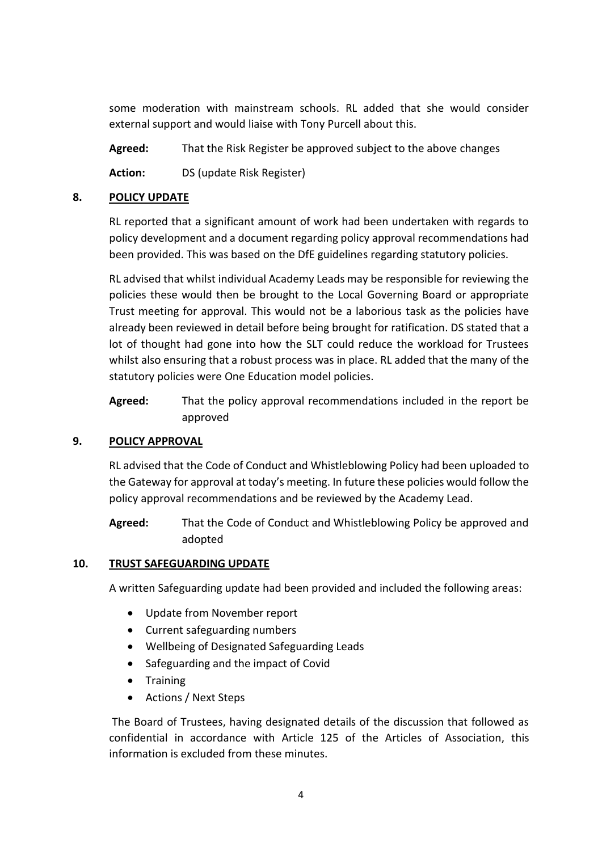some moderation with mainstream schools. RL added that she would consider external support and would liaise with Tony Purcell about this.

**Agreed:** That the Risk Register be approved subject to the above changes

**Action:** DS (update Risk Register)

### **8. POLICY UPDATE**

RL reported that a significant amount of work had been undertaken with regards to policy development and a document regarding policy approval recommendations had been provided. This was based on the DfE guidelines regarding statutory policies.

RL advised that whilst individual Academy Leads may be responsible for reviewing the policies these would then be brought to the Local Governing Board or appropriate Trust meeting for approval. This would not be a laborious task as the policies have already been reviewed in detail before being brought for ratification. DS stated that a lot of thought had gone into how the SLT could reduce the workload for Trustees whilst also ensuring that a robust process was in place. RL added that the many of the statutory policies were One Education model policies.

**Agreed:** That the policy approval recommendations included in the report be approved

## **9. POLICY APPROVAL**

RL advised that the Code of Conduct and Whistleblowing Policy had been uploaded to the Gateway for approval at today's meeting. In future these policies would follow the policy approval recommendations and be reviewed by the Academy Lead.

**Agreed:** That the Code of Conduct and Whistleblowing Policy be approved and adopted

## **10. TRUST SAFEGUARDING UPDATE**

A written Safeguarding update had been provided and included the following areas:

- Update from November report
- Current safeguarding numbers
- Wellbeing of Designated Safeguarding Leads
- Safeguarding and the impact of Covid
- Training
- Actions / Next Steps

The Board of Trustees, having designated details of the discussion that followed as confidential in accordance with Article 125 of the Articles of Association, this information is excluded from these minutes.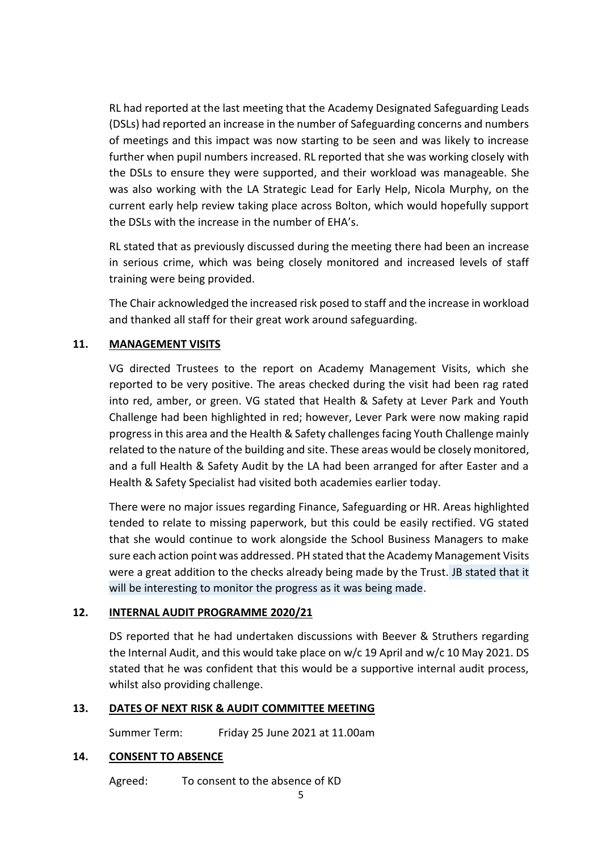RL had reported at the last meeting that the Academy Designated Safeguarding Leads (DSLs) had reported an increase in the number of Safeguarding concerns and numbers of meetings and this impact was now starting to be seen and was likely to increase further when pupil numbers increased. RL reported that she was working closely with the DSLs to ensure they were supported, and their workload was manageable. She was also working with the LA Strategic Lead for Early Help, Nicola Murphy, on the current early help review taking place across Bolton, which would hopefully support the DSLs with the increase in the number of EHA's.

RL stated that as previously discussed during the meeting there had been an increase in serious crime, which was being closely monitored and increased levels of staff training were being provided.

The Chair acknowledged the increased risk posed to staff and the increase in workload and thanked all staff for their great work around safeguarding.

## **11. MANAGEMENT VISITS**

VG directed Trustees to the report on Academy Management Visits, which she reported to be very positive. The areas checked during the visit had been rag rated into red, amber, or green. VG stated that Health & Safety at Lever Park and Youth Challenge had been highlighted in red; however, Lever Park were now making rapid progress in this area and the Health & Safety challenges facing Youth Challenge mainly related to the nature of the building and site. These areas would be closely monitored, and a full Health & Safety Audit by the LA had been arranged for after Easter and a Health & Safety Specialist had visited both academies earlier today.

There were no major issues regarding Finance, Safeguarding or HR. Areas highlighted tended to relate to missing paperwork, but this could be easily rectified. VG stated that she would continue to work alongside the School Business Managers to make sure each action point was addressed. PH stated that the Academy Management Visits were a great addition to the checks already being made by the Trust. JB stated that it will be interesting to monitor the progress as it was being made.

## **12. INTERNAL AUDIT PROGRAMME 2020/21**

DS reported that he had undertaken discussions with Beever & Struthers regarding the Internal Audit, and this would take place on w/c 19 April and w/c 10 May 2021. DS stated that he was confident that this would be a supportive internal audit process, whilst also providing challenge.

# **13. DATES OF NEXT RISK & AUDIT COMMITTEE MEETING**

Summer Term: Friday 25 June 2021 at 11.00am

## **14. CONSENT TO ABSENCE**

Agreed: To consent to the absence of KD